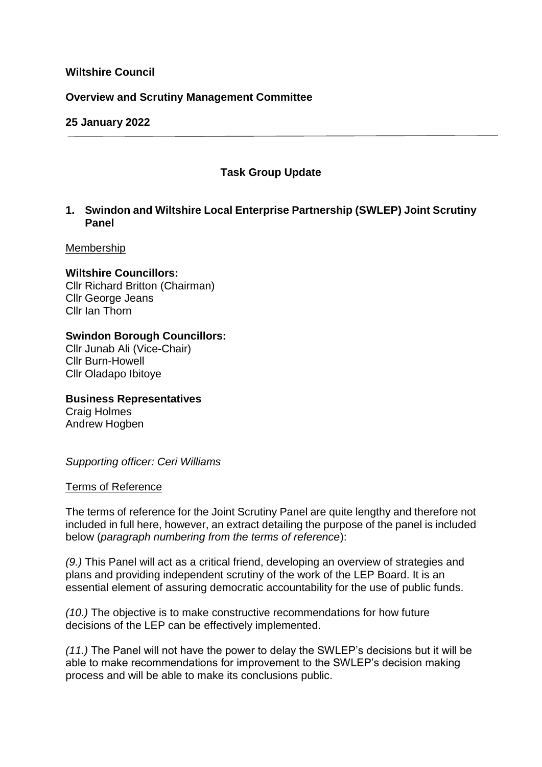# **Wiltshire Council**

## **Overview and Scrutiny Management Committee**

## **25 January 2022**

# **Task Group Update**

# **1. Swindon and Wiltshire Local Enterprise Partnership (SWLEP) Joint Scrutiny Panel**

#### Membership

## **Wiltshire Councillors:**

Cllr Richard Britton (Chairman) Cllr George Jeans Cllr Ian Thorn

# **Swindon Borough Councillors:**

Cllr Junab Ali (Vice-Chair) Cllr Burn-Howell Cllr Oladapo Ibitoye

**Business Representatives** Craig Holmes Andrew Hogben

*Supporting officer: Ceri Williams*

## Terms of Reference

The terms of reference for the Joint Scrutiny Panel are quite lengthy and therefore not included in full here, however, an extract detailing the purpose of the panel is included below (*paragraph numbering from the terms of reference*):

*(9.)* This Panel will act as a critical friend, developing an overview of strategies and plans and providing independent scrutiny of the work of the LEP Board. It is an essential element of assuring democratic accountability for the use of public funds.

*(10.)* The objective is to make constructive recommendations for how future decisions of the LEP can be effectively implemented.

*(11.)* The Panel will not have the power to delay the SWLEP's decisions but it will be able to make recommendations for improvement to the SWLEP's decision making process and will be able to make its conclusions public.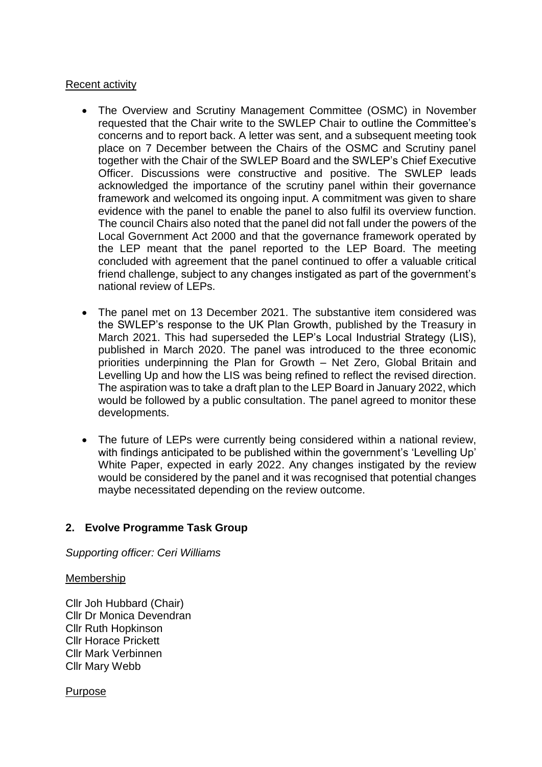## Recent activity

- The Overview and Scrutiny Management Committee (OSMC) in November requested that the Chair write to the SWLEP Chair to outline the Committee's concerns and to report back. A letter was sent, and a subsequent meeting took place on 7 December between the Chairs of the OSMC and Scrutiny panel together with the Chair of the SWLEP Board and the SWLEP's Chief Executive Officer. Discussions were constructive and positive. The SWLEP leads acknowledged the importance of the scrutiny panel within their governance framework and welcomed its ongoing input. A commitment was given to share evidence with the panel to enable the panel to also fulfil its overview function. The council Chairs also noted that the panel did not fall under the powers of the Local Government Act 2000 and that the governance framework operated by the LEP meant that the panel reported to the LEP Board. The meeting concluded with agreement that the panel continued to offer a valuable critical friend challenge, subject to any changes instigated as part of the government's national review of LEPs.
- The panel met on 13 December 2021. The substantive item considered was the SWLEP's response to the UK Plan Growth, published by the Treasury in March 2021. This had superseded the LEP's Local Industrial Strategy (LIS), published in March 2020. The panel was introduced to the three economic priorities underpinning the Plan for Growth – Net Zero, Global Britain and Levelling Up and how the LIS was being refined to reflect the revised direction. The aspiration was to take a draft plan to the LEP Board in January 2022, which would be followed by a public consultation. The panel agreed to monitor these developments.
- The future of LEPs were currently being considered within a national review, with findings anticipated to be published within the government's 'Levelling Up' White Paper, expected in early 2022. Any changes instigated by the review would be considered by the panel and it was recognised that potential changes maybe necessitated depending on the review outcome.

# **2. Evolve Programme Task Group**

*Supporting officer: Ceri Williams*

#### Membership

Cllr Joh Hubbard (Chair) Cllr Dr Monica Devendran Cllr Ruth Hopkinson Cllr Horace Prickett Cllr Mark Verbinnen Cllr Mary Webb

Purpose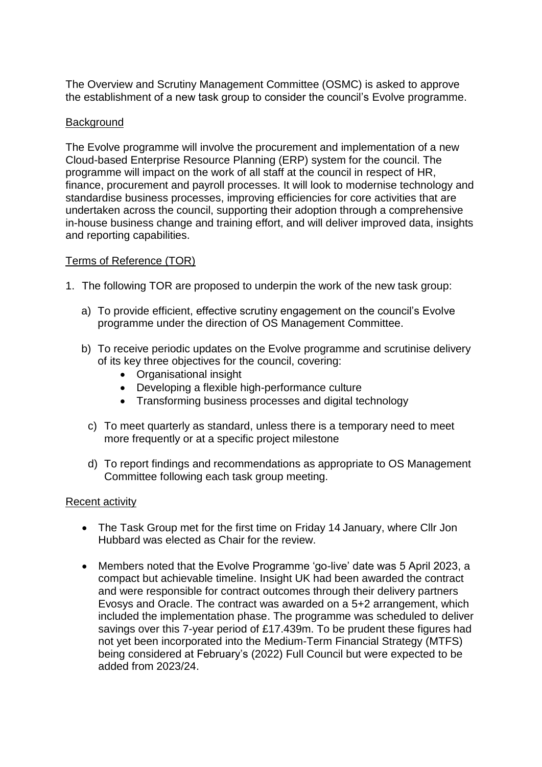The Overview and Scrutiny Management Committee (OSMC) is asked to approve the establishment of a new task group to consider the council's Evolve programme.

# Background

The Evolve programme will involve the procurement and implementation of a new Cloud-based Enterprise Resource Planning (ERP) system for the council. The programme will impact on the work of all staff at the council in respect of HR, finance, procurement and payroll processes. It will look to modernise technology and standardise business processes, improving efficiencies for core activities that are undertaken across the council, supporting their adoption through a comprehensive in-house business change and training effort, and will deliver improved data, insights and reporting capabilities.

# Terms of Reference (TOR)

- 1. The following TOR are proposed to underpin the work of the new task group:
	- a) To provide efficient, effective scrutiny engagement on the council's Evolve programme under the direction of OS Management Committee.
	- b) To receive periodic updates on the Evolve programme and scrutinise delivery of its key three objectives for the council, covering:
		- Organisational insight
		- Developing a flexible high-performance culture
		- Transforming business processes and digital technology
		- c) To meet quarterly as standard, unless there is a temporary need to meet more frequently or at a specific project milestone
		- d) To report findings and recommendations as appropriate to OS Management Committee following each task group meeting.

## Recent activity

- The Task Group met for the first time on Friday 14 January, where Cllr Jon Hubbard was elected as Chair for the review.
- Members noted that the Evolve Programme 'go-live' date was 5 April 2023, a compact but achievable timeline. Insight UK had been awarded the contract and were responsible for contract outcomes through their delivery partners Evosys and Oracle. The contract was awarded on a 5+2 arrangement, which included the implementation phase. The programme was scheduled to deliver savings over this 7-year period of £17.439m. To be prudent these figures had not yet been incorporated into the Medium-Term Financial Strategy (MTFS) being considered at February's (2022) Full Council but were expected to be added from 2023/24.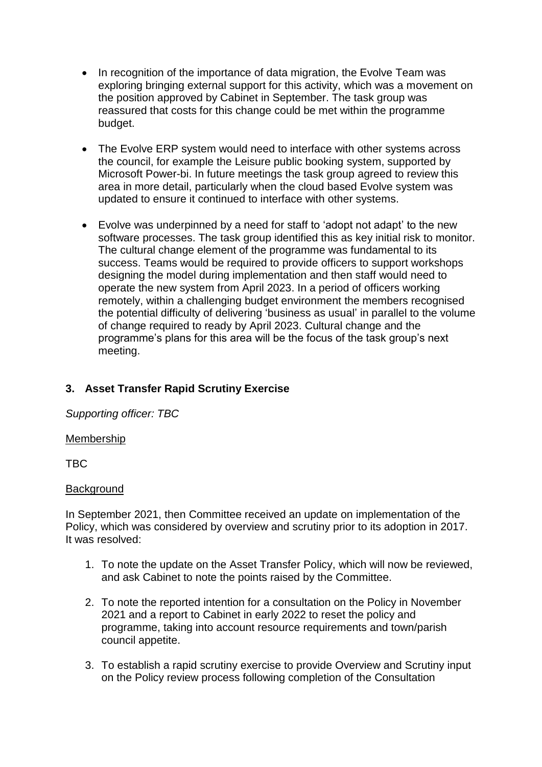- In recognition of the importance of data migration, the Evolve Team was exploring bringing external support for this activity, which was a movement on the position approved by Cabinet in September. The task group was reassured that costs for this change could be met within the programme budget.
- The Evolve ERP system would need to interface with other systems across the council, for example the Leisure public booking system, supported by Microsoft Power-bi. In future meetings the task group agreed to review this area in more detail, particularly when the cloud based Evolve system was updated to ensure it continued to interface with other systems.
- Evolve was underpinned by a need for staff to 'adopt not adapt' to the new software processes. The task group identified this as key initial risk to monitor. The cultural change element of the programme was fundamental to its success. Teams would be required to provide officers to support workshops designing the model during implementation and then staff would need to operate the new system from April 2023. In a period of officers working remotely, within a challenging budget environment the members recognised the potential difficulty of delivering 'business as usual' in parallel to the volume of change required to ready by April 2023. Cultural change and the programme's plans for this area will be the focus of the task group's next meeting.

# **3. Asset Transfer Rapid Scrutiny Exercise**

*Supporting officer: TBC*

## Membership

TBC

## **Background**

In September 2021, then Committee received an update on implementation of the Policy, which was considered by overview and scrutiny prior to its adoption in 2017. It was resolved:

- 1. To note the update on the Asset Transfer Policy, which will now be reviewed, and ask Cabinet to note the points raised by the Committee.
- 2. To note the reported intention for a consultation on the Policy in November 2021 and a report to Cabinet in early 2022 to reset the policy and programme, taking into account resource requirements and town/parish council appetite.
- 3. To establish a rapid scrutiny exercise to provide Overview and Scrutiny input on the Policy review process following completion of the Consultation